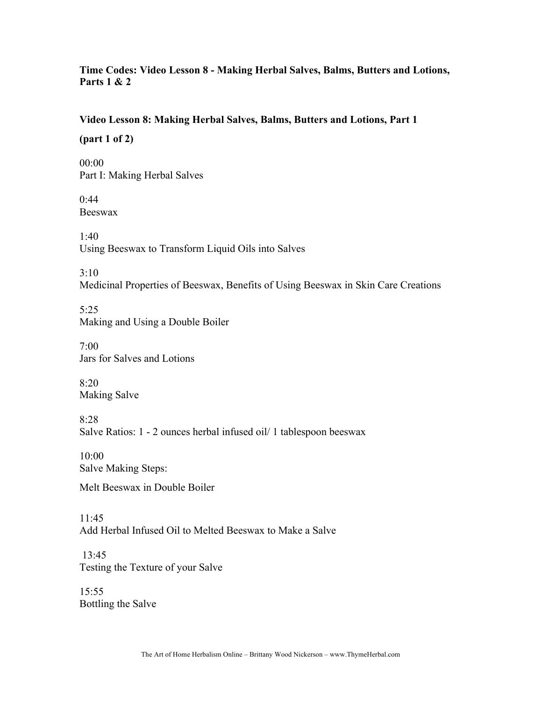### **Time Codes: Video Lesson 8 - Making Herbal Salves, Balms, Butters and Lotions, Parts 1 & 2**

#### **Video Lesson 8: Making Herbal Salves, Balms, Butters and Lotions, Part 1**

**(part 1 of 2)**

00:00 Part I: Making Herbal Salves

0:44 Beeswax

 $1.40$ Using Beeswax to Transform Liquid Oils into Salves

3:10

Medicinal Properties of Beeswax, Benefits of Using Beeswax in Skin Care Creations

5:25 Making and Using a Double Boiler

7:00 Jars for Salves and Lotions

8:20 Making Salve

8:28 Salve Ratios: 1 - 2 ounces herbal infused oil/ 1 tablespoon beeswax

10:00 Salve Making Steps:

Melt Beeswax in Double Boiler

 $11.45$ Add Herbal Infused Oil to Melted Beeswax to Make a Salve

13:45 Testing the Texture of your Salve

15:55 Bottling the Salve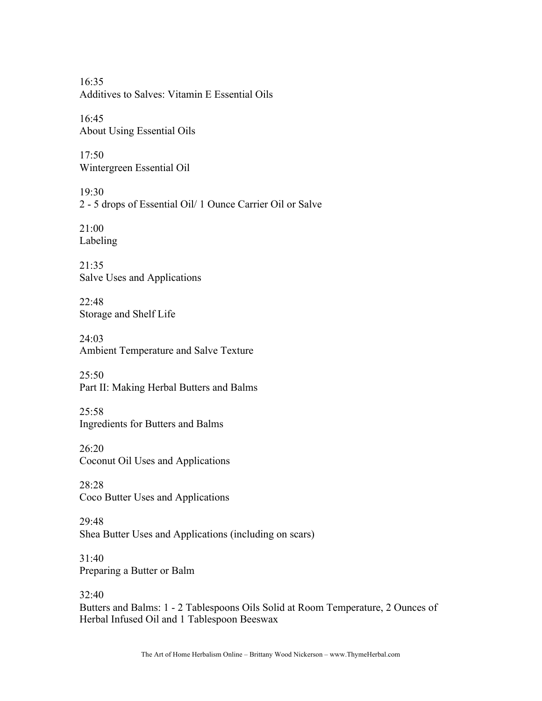16:35 Additives to Salves: Vitamin E Essential Oils

16:45 About Using Essential Oils

17:50 Wintergreen Essential Oil

19:30 2 - 5 drops of Essential Oil/ 1 Ounce Carrier Oil or Salve

21:00 Labeling

 $21.35$ Salve Uses and Applications

 $22.48$ Storage and Shelf Life

24:03 Ambient Temperature and Salve Texture

 $25:50$ Part II: Making Herbal Butters and Balms

 $25:58$ Ingredients for Butters and Balms

26:20 Coconut Oil Uses and Applications

28:28 Coco Butter Uses and Applications

29:48 Shea Butter Uses and Applications (including on scars)

31:40 Preparing a Butter or Balm

32:40 Butters and Balms: 1 - 2 Tablespoons Oils Solid at Room Temperature, 2 Ounces of Herbal Infused Oil and 1 Tablespoon Beeswax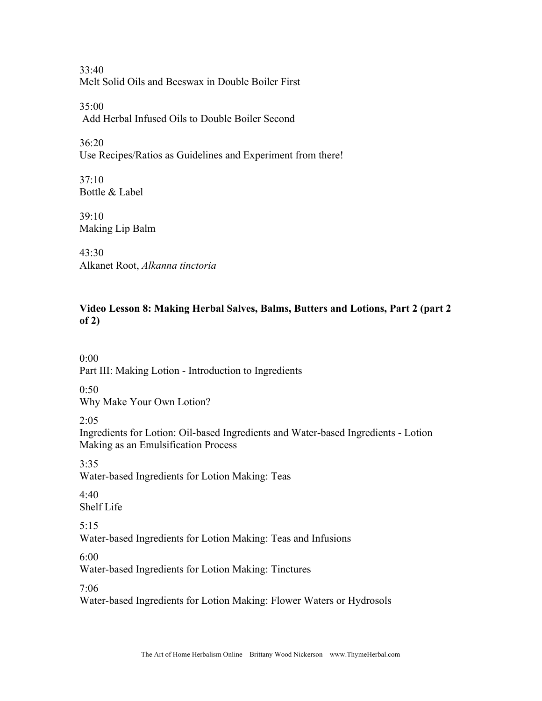33:40 Melt Solid Oils and Beeswax in Double Boiler First

35:00 Add Herbal Infused Oils to Double Boiler Second

 $36.20$ Use Recipes/Ratios as Guidelines and Experiment from there!

37:10 Bottle & Label

 $39.10$ Making Lip Balm

 $43.30$ Alkanet Root, *Alkanna tinctoria*

# **Video Lesson 8: Making Herbal Salves, Balms, Butters and Lotions, Part 2 (part 2 of 2)**

 $0.00$ Part III: Making Lotion - Introduction to Ingredients

0:50

Why Make Your Own Lotion?

 $2.05$ 

Ingredients for Lotion: Oil-based Ingredients and Water-based Ingredients - Lotion Making as an Emulsification Process

3:35 Water-based Ingredients for Lotion Making: Teas

 $4.40$ Shelf Life

5:15 Water-based Ingredients for Lotion Making: Teas and Infusions

6:00 Water-based Ingredients for Lotion Making: Tinctures

7:06

Water-based Ingredients for Lotion Making: Flower Waters or Hydrosols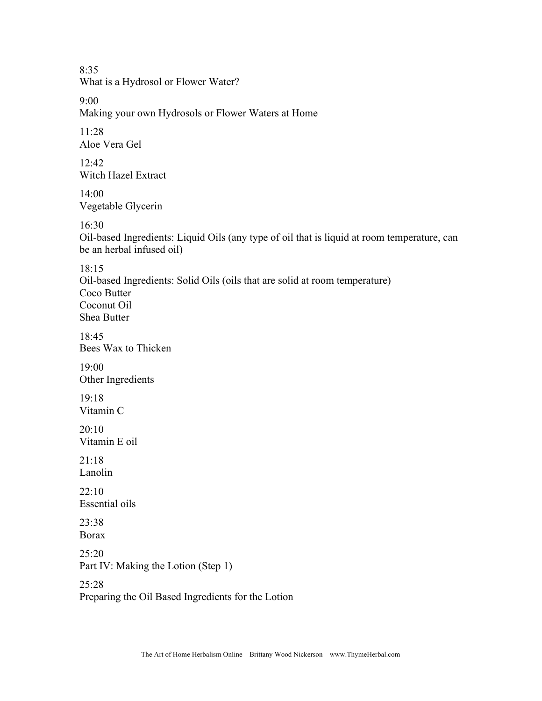8:35 What is a Hydrosol or Flower Water?

9:00

Making your own Hydrosols or Flower Waters at Home

11:28 Aloe Vera Gel

 $12.42$ Witch Hazel Extract

 $14.00$ Vegetable Glycerin

16:30

Oil-based Ingredients: Liquid Oils (any type of oil that is liquid at room temperature, can be an herbal infused oil)

18:15 Oil-based Ingredients: Solid Oils (oils that are solid at room temperature) Coco Butter Coconut Oil Shea Butter

18:45 Bees Wax to Thicken

19:00 Other Ingredients

19:18 Vitamin C

20:10 Vitamin E oil

 $21:18$ Lanolin

 $22 \cdot 10$ Essential oils

23:38 Borax

25:20 Part IV: Making the Lotion (Step 1)

25:28

Preparing the Oil Based Ingredients for the Lotion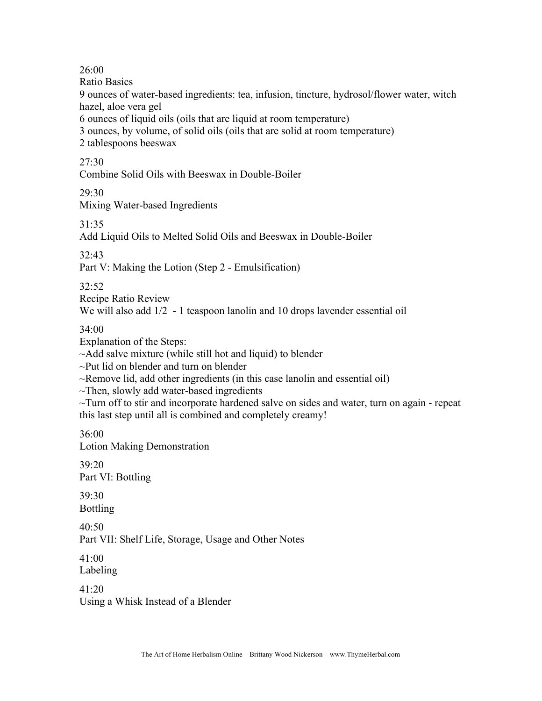26:00

Ratio Basics

9 ounces of water-based ingredients: tea, infusion, tincture, hydrosol/flower water, witch hazel, aloe vera gel

6 ounces of liquid oils (oils that are liquid at room temperature)

3 ounces, by volume, of solid oils (oils that are solid at room temperature)

2 tablespoons beeswax

## $27.30$

Combine Solid Oils with Beeswax in Double-Boiler

29:30

Mixing Water-based Ingredients

 $31.35$ 

Add Liquid Oils to Melted Solid Oils and Beeswax in Double-Boiler

32:43

Part V: Making the Lotion (Step 2 - Emulsification)

32:52

Recipe Ratio Review We will also add  $1/2$  - 1 teaspoon lanolin and 10 drops lavender essential oil

## 34:00

Explanation of the Steps:

~Add salve mixture (while still hot and liquid) to blender

~Put lid on blender and turn on blender

~Remove lid, add other ingredients (in this case lanolin and essential oil)

 $\sim$ Then, slowly add water-based ingredients

 $\sim$ Turn off to stir and incorporate hardened salve on sides and water, turn on again - repeat this last step until all is combined and completely creamy!

36:00

Lotion Making Demonstration

 $39.20$ Part VI: Bottling

39:30 Bottling

40:50

Part VII: Shelf Life, Storage, Usage and Other Notes

41:00 Labeling

41:20 Using a Whisk Instead of a Blender